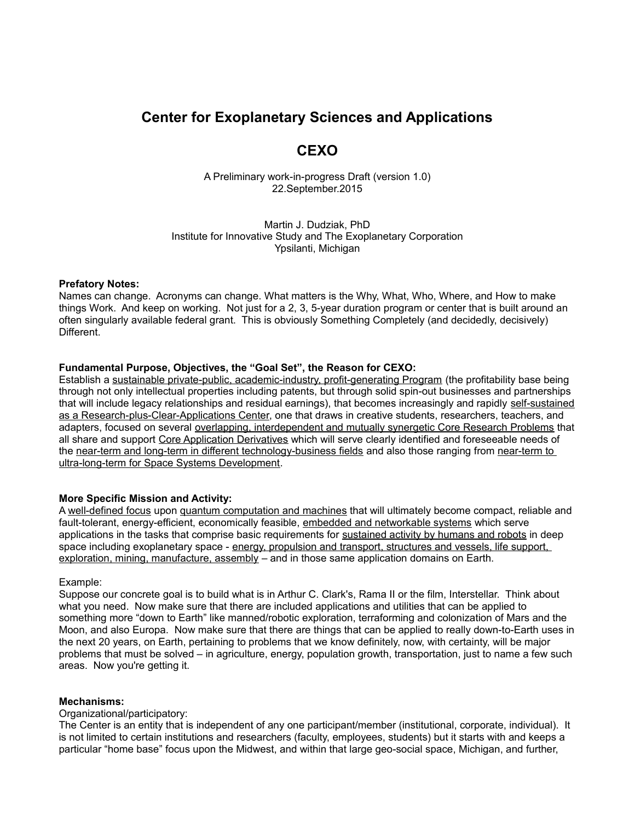# **Center for Exoplanetary Sciences and Applications**

## **CEXO**

A Preliminary work-in-progress Draft (version 1.0) 22.September.2015

Martin J. Dudziak, PhD Institute for Innovative Study and The Exoplanetary Corporation Ypsilanti, Michigan

#### **Prefatory Notes:**

Names can change. Acronyms can change. What matters is the Why, What, Who, Where, and How to make things Work. And keep on working. Not just for a 2, 3, 5-year duration program or center that is built around an often singularly available federal grant. This is obviously Something Completely (and decidedly, decisively) Different.

## **Fundamental Purpose, Objectives, the "Goal Set", the Reason for CEXO:**

Establish a sustainable private-public, academic-industry, profit-generating Program (the profitability base being through not only intellectual properties including patents, but through solid spin-out businesses and partnerships that will include legacy relationships and residual earnings), that becomes increasingly and rapidly self-sustained as a Research-plus-Clear-Applications Center, one that draws in creative students, researchers, teachers, and adapters, focused on several overlapping, interdependent and mutually synergetic Core Research Problems that all share and support Core Application Derivatives which will serve clearly identified and foreseeable needs of the near-term and long-term in different technology-business fields and also those ranging from near-term to ultra-long-term for Space Systems Development.

## **More Specific Mission and Activity:**

A well-defined focus upon quantum computation and machines that will ultimately become compact, reliable and fault-tolerant, energy-efficient, economically feasible, embedded and networkable systems which serve applications in the tasks that comprise basic requirements for sustained activity by humans and robots in deep space including exoplanetary space - energy, propulsion and transport, structures and vessels, life support, exploration, mining, manufacture, assembly – and in those same application domains on Earth.

#### Example:

Suppose our concrete goal is to build what is in Arthur C. Clark's, Rama II or the film, Interstellar. Think about what you need. Now make sure that there are included applications and utilities that can be applied to something more "down to Earth" like manned/robotic exploration, terraforming and colonization of Mars and the Moon, and also Europa. Now make sure that there are things that can be applied to really down-to-Earth uses in the next 20 years, on Earth, pertaining to problems that we know definitely, now, with certainty, will be major problems that must be solved – in agriculture, energy, population growth, transportation, just to name a few such areas. Now you're getting it.

## **Mechanisms:**

#### Organizational/participatory:

The Center is an entity that is independent of any one participant/member (institutional, corporate, individual). It is not limited to certain institutions and researchers (faculty, employees, students) but it starts with and keeps a particular "home base" focus upon the Midwest, and within that large geo-social space, Michigan, and further,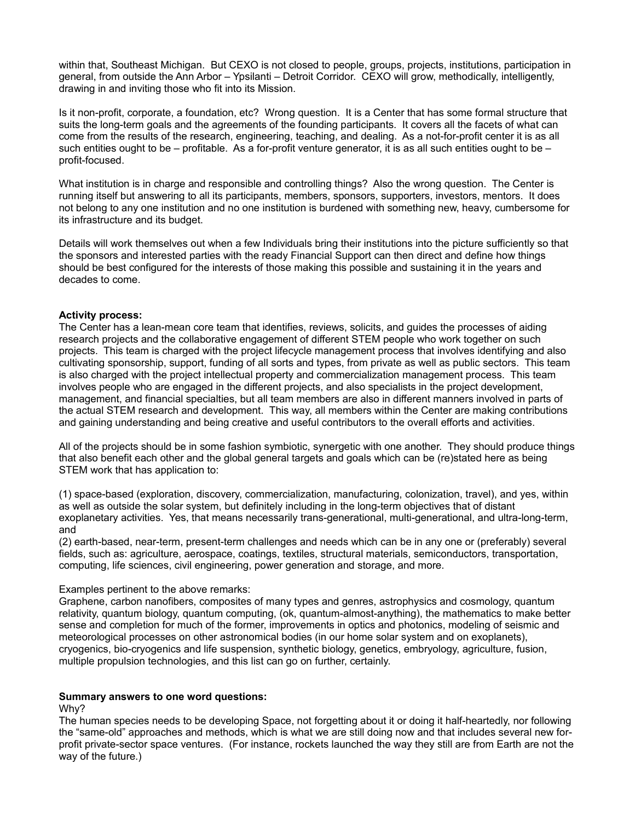within that, Southeast Michigan. But CEXO is not closed to people, groups, projects, institutions, participation in general, from outside the Ann Arbor – Ypsilanti – Detroit Corridor. CEXO will grow, methodically, intelligently, drawing in and inviting those who fit into its Mission.

Is it non-profit, corporate, a foundation, etc? Wrong question. It is a Center that has some formal structure that suits the long-term goals and the agreements of the founding participants. It covers all the facets of what can come from the results of the research, engineering, teaching, and dealing. As a not-for-profit center it is as all such entities ought to be – profitable. As a for-profit venture generator, it is as all such entities ought to be – profit-focused.

What institution is in charge and responsible and controlling things? Also the wrong question. The Center is running itself but answering to all its participants, members, sponsors, supporters, investors, mentors. It does not belong to any one institution and no one institution is burdened with something new, heavy, cumbersome for its infrastructure and its budget.

Details will work themselves out when a few Individuals bring their institutions into the picture sufficiently so that the sponsors and interested parties with the ready Financial Support can then direct and define how things should be best configured for the interests of those making this possible and sustaining it in the years and decades to come.

## **Activity process:**

The Center has a lean-mean core team that identifies, reviews, solicits, and guides the processes of aiding research projects and the collaborative engagement of different STEM people who work together on such projects. This team is charged with the project lifecycle management process that involves identifying and also cultivating sponsorship, support, funding of all sorts and types, from private as well as public sectors. This team is also charged with the project intellectual property and commercialization management process. This team involves people who are engaged in the different projects, and also specialists in the project development, management, and financial specialties, but all team members are also in different manners involved in parts of the actual STEM research and development. This way, all members within the Center are making contributions and gaining understanding and being creative and useful contributors to the overall efforts and activities.

All of the projects should be in some fashion symbiotic, synergetic with one another. They should produce things that also benefit each other and the global general targets and goals which can be (re)stated here as being STEM work that has application to:

(1) space-based (exploration, discovery, commercialization, manufacturing, colonization, travel), and yes, within as well as outside the solar system, but definitely including in the long-term objectives that of distant exoplanetary activities. Yes, that means necessarily trans-generational, multi-generational, and ultra-long-term, and

(2) earth-based, near-term, present-term challenges and needs which can be in any one or (preferably) several fields, such as: agriculture, aerospace, coatings, textiles, structural materials, semiconductors, transportation, computing, life sciences, civil engineering, power generation and storage, and more.

#### Examples pertinent to the above remarks:

Graphene, carbon nanofibers, composites of many types and genres, astrophysics and cosmology, quantum relativity, quantum biology, quantum computing, (ok, quantum-almost-anything), the mathematics to make better sense and completion for much of the former, improvements in optics and photonics, modeling of seismic and meteorological processes on other astronomical bodies (in our home solar system and on exoplanets), cryogenics, bio-cryogenics and life suspension, synthetic biology, genetics, embryology, agriculture, fusion, multiple propulsion technologies, and this list can go on further, certainly.

#### **Summary answers to one word questions:**

Why?

The human species needs to be developing Space, not forgetting about it or doing it half-heartedly, nor following the "same-old" approaches and methods, which is what we are still doing now and that includes several new forprofit private-sector space ventures. (For instance, rockets launched the way they still are from Earth are not the way of the future.)